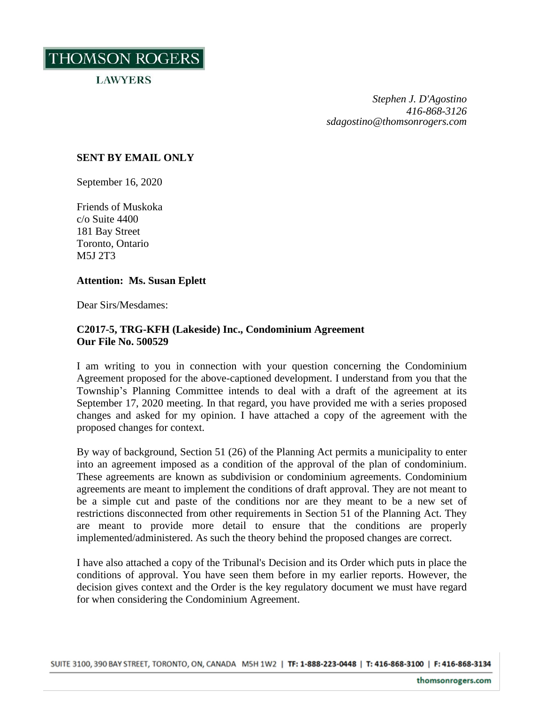THOMSON ROGERS

**LAWYERS** 

*Stephen J. D'Agostino 416-868-3126 sdagostino@thomsonrogers.com*

## **SENT BY EMAIL ONLY**

September 16, 2020

Friends of Muskoka c/o Suite 4400 181 Bay Street Toronto, Ontario M5J 2T3

## **Attention: Ms. Susan Eplett**

Dear Sirs/Mesdames:

## **C2017-5, TRG-KFH (Lakeside) Inc., Condominium Agreement Our File No. 500529**

I am writing to you in connection with your question concerning the Condominium Agreement proposed for the above-captioned development. I understand from you that the Township's Planning Committee intends to deal with a draft of the agreement at its September 17, 2020 meeting. In that regard, you have provided me with a series proposed changes and asked for my opinion. I have attached a copy of the agreement with the proposed changes for context.

By way of background, Section 51 (26) of the Planning Act permits a municipality to enter into an agreement imposed as a condition of the approval of the plan of condominium. These agreements are known as subdivision or condominium agreements. Condominium agreements are meant to implement the conditions of draft approval. They are not meant to be a simple cut and paste of the conditions nor are they meant to be a new set of restrictions disconnected from other requirements in Section 51 of the Planning Act. They are meant to provide more detail to ensure that the conditions are properly implemented/administered. As such the theory behind the proposed changes are correct.

I have also attached a copy of the Tribunal's Decision and its Order which puts in place the conditions of approval. You have seen them before in my earlier reports. However, the decision gives context and the Order is the key regulatory document we must have regard for when considering the Condominium Agreement.

SUITE 3100, 390 BAY STREET, TORONTO, ON, CANADA M5H 1W2 | TF: 1-888-223-0448 | T: 416-868-3100 | F: 416-868-3134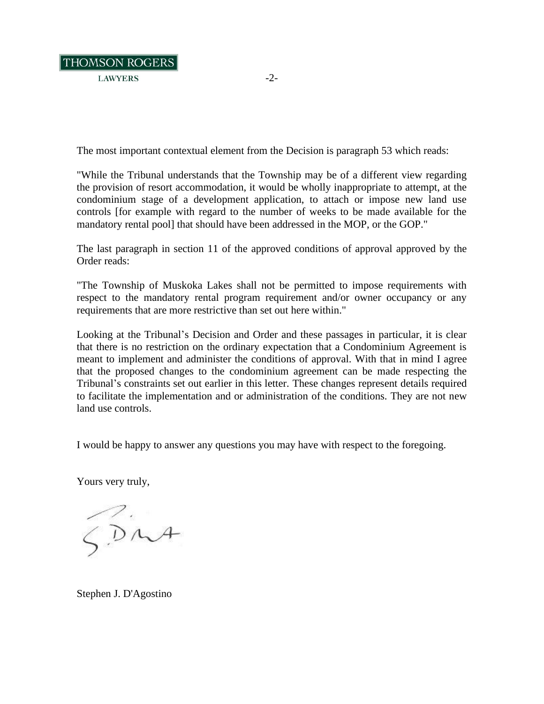

The most important contextual element from the Decision is paragraph 53 which reads:

"While the Tribunal understands that the Township may be of a different view regarding the provision of resort accommodation, it would be wholly inappropriate to attempt, at the condominium stage of a development application, to attach or impose new land use controls [for example with regard to the number of weeks to be made available for the mandatory rental pool] that should have been addressed in the MOP, or the GOP."

The last paragraph in section 11 of the approved conditions of approval approved by the Order reads:

"The Township of Muskoka Lakes shall not be permitted to impose requirements with respect to the mandatory rental program requirement and/or owner occupancy or any requirements that are more restrictive than set out here within."

Looking at the Tribunal's Decision and Order and these passages in particular, it is clear that there is no restriction on the ordinary expectation that a Condominium Agreement is meant to implement and administer the conditions of approval. With that in mind I agree that the proposed changes to the condominium agreement can be made respecting the Tribunal's constraints set out earlier in this letter. These changes represent details required to facilitate the implementation and or administration of the conditions. They are not new land use controls.

I would be happy to answer any questions you may have with respect to the foregoing.

Yours very truly,

 $\bigotimes_{\sim}$ 

Stephen J. D'Agostino